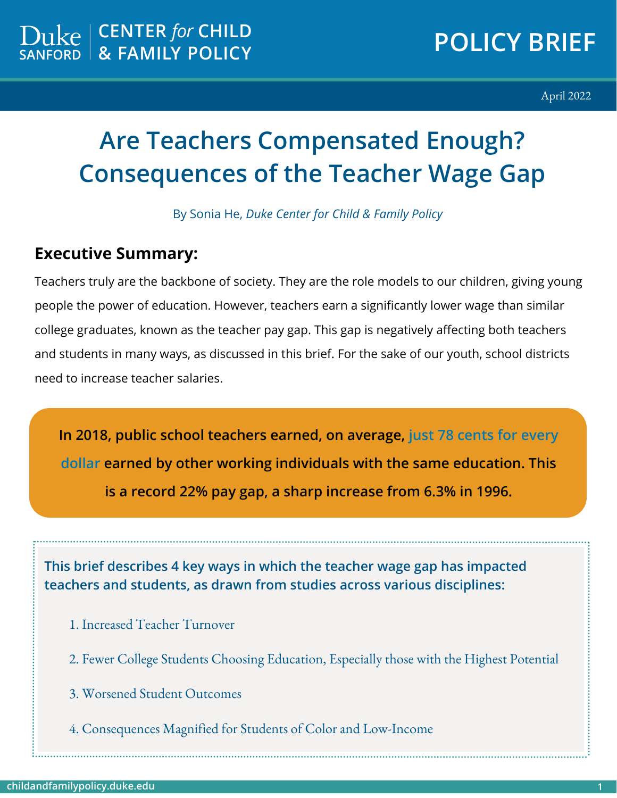April 2022

# **Are Teachers Compensated Enough? Consequences of the Teacher Wage Gap**

By Sonia He, *Duke Center for Child & Family Policy* 

#### **Executive Summary:**

Teachers truly are the backbone of society. They are the role models to our children, giving young people the power of education. However, teachers earn a significantly lower wage than similar college graduates, known as the teacher pay gap. This gap is negatively affecting both teachers and students in many ways, as discussed in this brief. For the sake of our youth, school districts need to increase teacher salaries.

**In 2018, public school teachers earned, on average, just 78 cents for every dollar earned by other working individuals with the same education. This is a record 22% pay gap, a sharp increase from 6.3% in 1996.**

**This brief describes 4 key ways in which the teacher wage gap has impacted teachers and students, as drawn from studies across various disciplines:**

- 1. Increased Teacher Turnover
- 2. Fewer College Students Choosing Education, Especially those with the Highest Potential
- 3. Worsened Student Outcomes
- 4. Consequences Magnified for Students of Color and Low-Income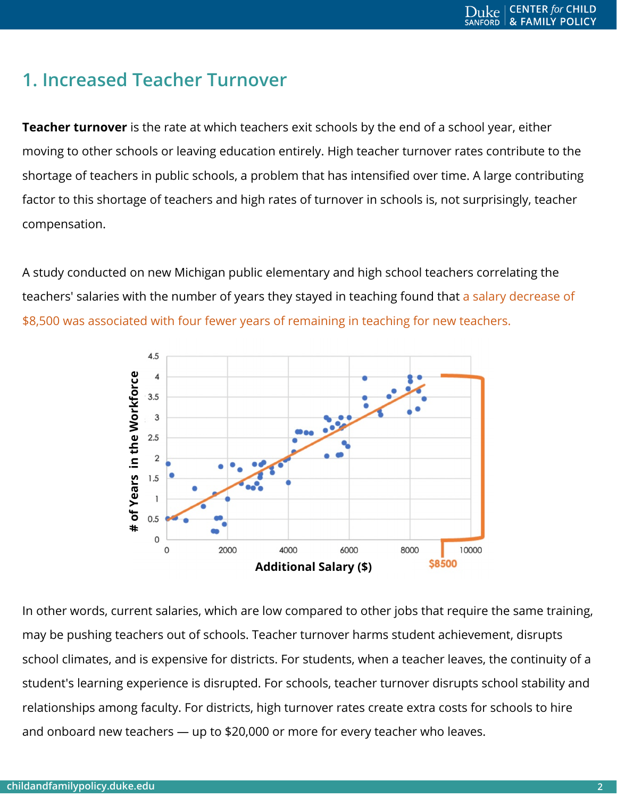## **1. Increased Teacher Turnover**

**Teacher turnover** is the rate at which teachers exit schools by the end of a school year, either moving to other schools or leaving education entirely. High teacher turnover rates contribute to the shortage of teachers in public schools, a problem that has intensified over time. A large contributing factor to this shortage of teachers and high rates of turnover in schools is, not surprisingly, teacher compensation.

A study conducted on new Michigan public elementary and high school teachers correlating the teachers' salaries with the number of years they stayed in teaching found that a salary decrease of \$8,500 was associated with four fewer years of remaining in teaching for new teachers.



In other words, current salaries, which are low compared to other jobs that require the same training, may be pushing teachers out of schools. Teacher turnover harms student achievement, disrupts school climates, and is expensive for districts. For students, when a teacher leaves, the continuity of a student's learning experience is disrupted. For schools, teacher turnover disrupts school stability and relationships among faculty. For districts, high turnover rates create extra costs for schools to hire and onboard new teachers — up to \$20,000 or more for every teacher who leaves.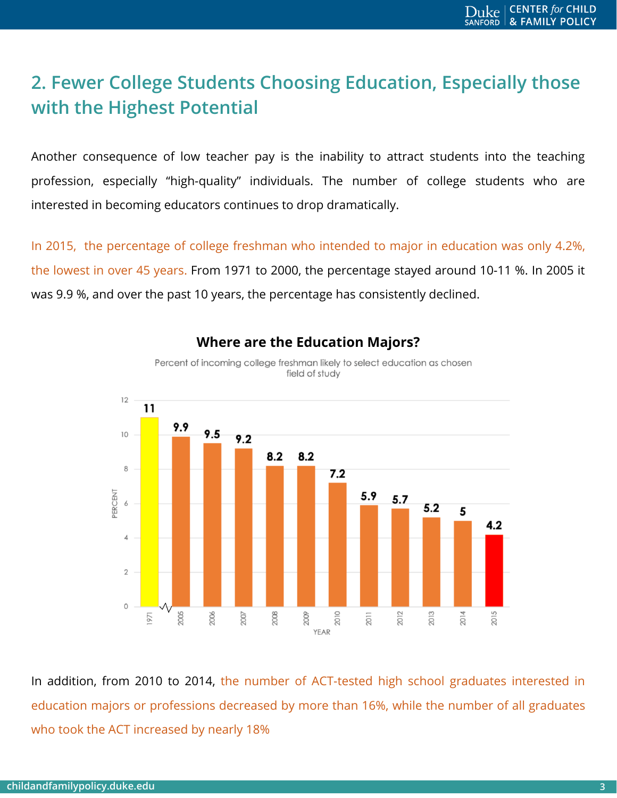# **2. Fewer College Students Choosing Education, Especially those with the Highest Potential**

Another consequence of low teacher pay is the inability to attract students into the teaching profession, especially "high-quality" individuals. The number of college students who are interested in becoming educators continues to drop dramatically.

In 2015, the percentage of college freshman who intended to major in education was only 4.2%, the lowest in over 45 years. From 1971 to 2000, the percentage stayed around 10-11 %. In 2005 it was 9.9 %, and over the past 10 years, the percentage has consistently declined.



#### **Where are the Education Majors?**

Percent of incoming college freshman likely to select education as chosen field of study

In addition, from 2010 to 2014, the number of ACT-tested high school graduates interested in education majors or professions decreased by more than 16%, while the number of all graduates who took the ACT increased by nearly 18%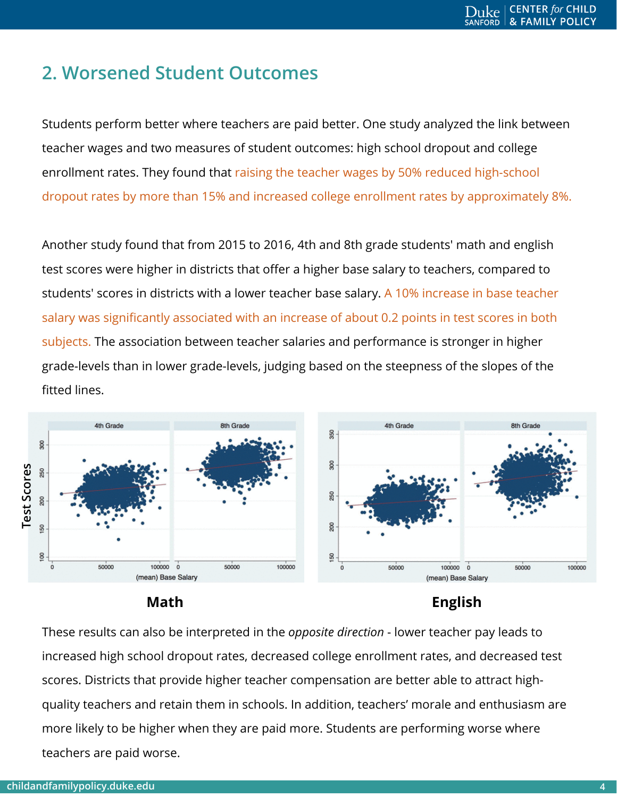## **2. Worsened Student Outcomes**

Students perform better where teachers are paid better. One study analyzed the link between teacher wages and two measures of student outcomes: high school dropout and college enrollment rates. They found that raising the teacher wages by 50% reduced high-school dropout rates by more than 15% and increased college enrollment rates by approximately 8%.

Another study found that from 2015 to 2016, 4th and 8th grade students' math and english test scores were higher in districts that offer a higher base salary to teachers, compared to students' scores in districts with a lower teacher base salary. A 10% increase in base teacher salary was significantly associated with an increase of about 0.2 points in test scores in both subjects. The association between teacher salaries and performance is stronger in higher grade-levels than in lower grade-levels, judging based on the steepness of the slopes of the fitted lines.





#### **Math English**

These results can also be interpreted in the *opposite direction* - lower teacher pay leads to increased high school dropout rates, decreased college enrollment rates, and decreased test scores. Districts that provide higher teacher compensation are better able to attract highquality teachers and retain them in schools. In addition, teachers' morale and enthusiasm are more likely to be higher when they are paid more. Students are performing worse where teachers are paid worse.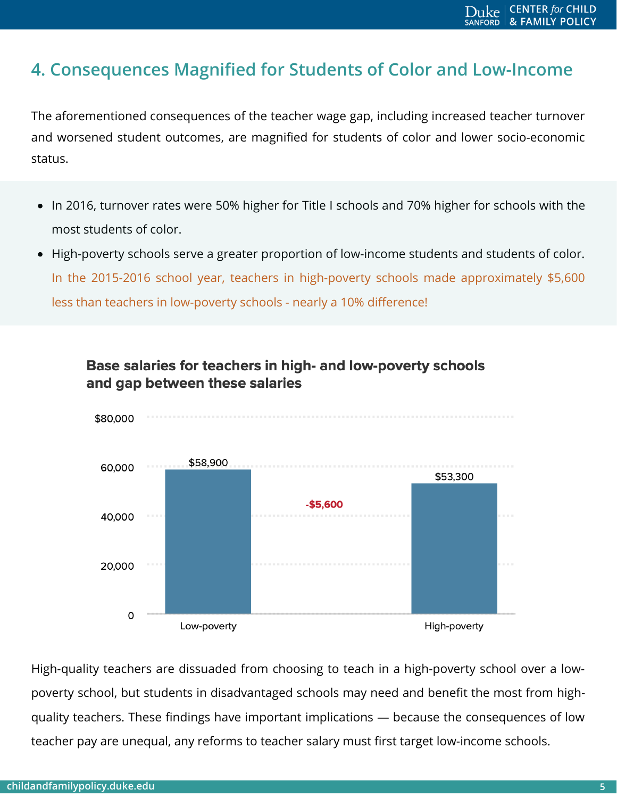### **4. Consequences Magnified for Students of Color and Low-Income**

The aforementioned consequences of the teacher wage gap, including increased teacher turnover and worsened student outcomes, are magnified for students of color and lower socio-economic status.

- In 2016, turnover rates were 50% higher for Title I schools and 70% higher for schools with the most students of color.
- High-poverty schools serve a greater proportion of low-income students and students of color. In the 2015-2016 school year, teachers in high-poverty schools made approximately \$5,600 less than teachers in low-poverty schools - nearly a 10% difference!



Base salaries for teachers in high- and low-poverty schools and gap between these salaries

High-quality teachers are dissuaded from choosing to teach in a high-poverty school over a lowpoverty school, but students in disadvantaged schools may need and benefit the most from highquality teachers. These findings have important implications — because the consequences of low teacher pay are unequal, any reforms to teacher salary must first target low-income schools.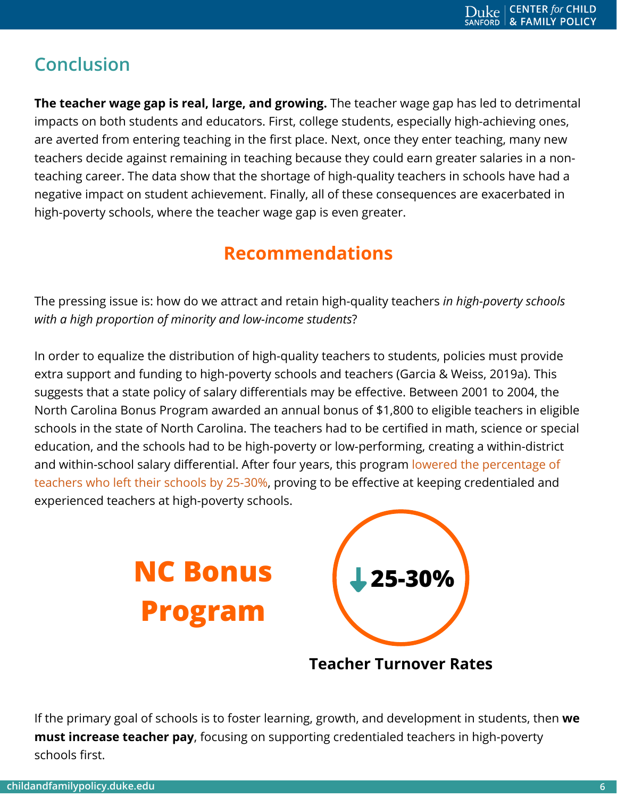# **Conclusion**

**The teacher wage gap is real, large, and growing.** The teacher wage gap has led to detrimental impacts on both students and educators. First, college students, especially high-achieving ones, are averted from entering teaching in the first place. Next, once they enter teaching, many new teachers decide against remaining in teaching because they could earn greater salaries in a nonteaching career. The data show that the shortage of high-quality teachers in schools have had a negative impact on student achievement. Finally, all of these consequences are exacerbated in high-poverty schools, where the teacher wage gap is even greater.

## **Recommendations**

The pressing issue is: how do we attract and retain high-quality teachers *in high-poverty schools with a high proportion of minority and low-income students*?

In order to equalize the distribution of high-quality teachers to students, policies must provide extra support and funding to high-poverty schools and teachers (Garcia & Weiss, 2019a). This suggests that a state policy of salary differentials may be effective. Between 2001 to 2004, the North Carolina Bonus Program awarded an annual bonus of \$1,800 to eligible teachers in eligible schools in the state of North Carolina. The teachers had to be certified in math, science or special education, and the schools had to be high-poverty or low-performing, creating a within-district and within-school salary differential. After four years, this program lowered the percentage of teachers who left their schools by 25-30%, proving to be effective at keeping credentialed and experienced teachers at high-poverty schools.



**Teacher Turnover Rates**

If the primary goal of schools is to foster learning, growth, and development in students, then **we must increase teacher pay**, focusing on supporting credentialed teachers in high-poverty schools first.